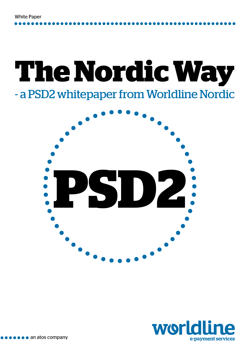# **The Nordic Way** - a PSD2 whitepaper from Worldline Nordic



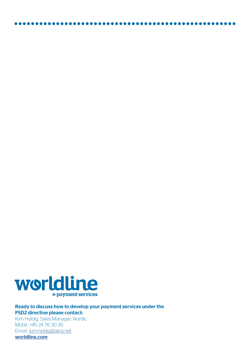

.............

<u>. . . . . . . . . . . . . . . . .</u>

Ready to discuss how to develop your payment services under the PSD2 directive please contact: Kim Hyldig, Sales Manager, Nordic

Mobil.: +45 24 76 30 26 Email.[: kim.hyldig@atos.net](mailto:%20kim.hyldig%40atos.net?subject=) [worldline.com](http://worldline.com)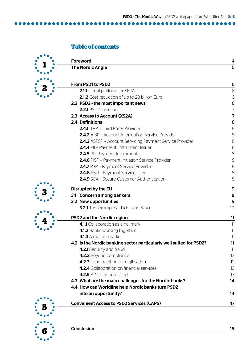#### **Table of contents**

....

.......

|  | <b>Foreword</b>                                                     | 4                |
|--|---------------------------------------------------------------------|------------------|
|  | <b>The Nordic Angle</b>                                             | 5                |
|  | From PSD1 to PSD2                                                   | 6                |
|  | 2.1.1 Legal platform for SEPA                                       | 6                |
|  | 2.1.2 Cost reduction of up to 28 billion Euro                       | 6                |
|  | 2.2 PSD2 - the most important news                                  | $\boldsymbol{6}$ |
|  | 2.2.1 PSD2 Timeline                                                 | $\overline{7}$   |
|  | 2.3 Access to Account (XS2A)                                        | $\overline{7}$   |
|  | 2.4 Definitions                                                     | 8                |
|  | 2.4.1 TPP - Third Party Provider                                    | 8                |
|  | <b>2.4.2</b> AISP - Account Information Service Provider            | 8                |
|  | 2.4.3 ASPSP - Account Servicing Payment Service Provider            | 8                |
|  | 2.4.4 PII - Payment Instrument Issuer                               | 8                |
|  | 2.4.5 PI - Payment Instrument                                       | 8                |
|  | 2.4.6 PISP - Payment Initiation Service Provider                    | 8                |
|  | 2.4.7 PSP - Payment Service Provider                                | 8                |
|  | 2.4.8 PSU - Payment Service User                                    | 8                |
|  | 2.4.9 SCA - Secure Customer Authentication                          | 8                |
|  | Disrupted by the EU                                                 | 9                |
|  | 3.1 Concern among bankers                                           | $\boldsymbol{9}$ |
|  | 3.2 New opportunities                                               | 9                |
|  | <b>3.2.1</b> Two examples - Fidor and Saxo                          | 10               |
|  | <b>PSD2 and the Nordic region</b>                                   | 11               |
|  | 4.1.1 Collaboration as a hallmark                                   | 11               |
|  | 4.1.2 Banks working together                                        | 11               |
|  | 4.1.3 A mature market                                               | 11               |
|  | 4.2 Is the Nordic banking sector particularly well suited for PSD2? | 11               |
|  | 4.2.1 Security and fraud                                            | 11               |
|  | 4.2.2 Beyond compliance                                             | 12               |
|  | 4.2.3 Long tradition for digitisation                               | 12               |
|  | 4.2.4 Collaboration on financial services                           | 13               |
|  | 4.2.5 A Nordic head start                                           | 13               |
|  | 4.3 What are the main challenges for the Nordic banks?              | 14               |
|  | 4.4 How can Worldline help Nordic banks turn PSD2                   |                  |
|  | into an opportunity?                                                | 14               |
|  | <b>Convenient Access to PSD2 Services (CAPS)</b>                    | 17               |
|  |                                                                     |                  |
|  | <b>Conclusion</b>                                                   | 19               |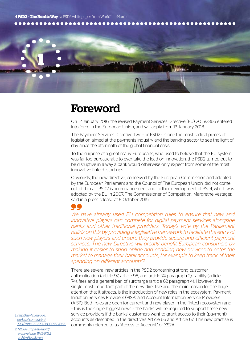4 **PSD2 - The Nordic Way** - a PSD2 whitepaper from Worldline Nordic



### Foreword

On 12 January 2016, the revised Payment Services Directive (EU) 2015/2366 entered into force in the European Union, and will apply from 13 January 2018.<sup>1</sup>

The Payment Services Directive Two - or PSD2 - is one the most radical pieces of legislation aimed at the payments industry and the banking sector to see the light of day since the aftermath of the global financial crisis.

To the surprise of a great many Europeans, who used to believe that the EU system was far too bureaucratic to ever take the lead on innovation, the PSD2 turned out to be disruptive in a way a bank would otherwise only expect from some of the most innovative fintech start-ups.

Obviously, the new directive, conceived by the European Commission and adopted by the European Parliament and the Council of The European Union, did not come out of thin air. PSD2 is an enhancement and further development of PSD1, which was adopted by the EU in 2007. The Commissioner of Competition, Margrethe Vestager, said in a press release at 8 October 2015:

*We have already used EU competition rules to ensure that new and innovative players can compete for digital payment services alongside banks and other traditional providers. Today's vote by the Parliament builds on this by providing a legislative framework to facilitate the entry of such new players and ensure they provide secure and efficient payment services. The new Directive will greatly benefit European consumers by making it easier to shop online and enabling new services to enter the market to manage their bank accounts, for example to keep track of their spending on different accounts"2*

There are several new articles in the PSD2 concerning strong customer authentication (article 97, article 98, and article 74 paragraph 2), liability (article 74), fees and a general ban of surcharge (article 62 paragraph 4). However, the single most important part of the new directive and the main reason for the huge attention that it attracts, is the introduction of new roles in the ecosystem: Payment Initiation Services Providers (PISP) and Account Information Service Providers (AISP). Both roles are open for current and new player in the fintech ecosystem and – this is the single biggest news – the banks will be required to support these new service providers if the banks' customers want to grant access to their (payment) accounts as described in the directive's Article 66 and Article 67. This new practise is commonly referred to as "Access to Account" or XS2A.

*1. [http://eur-lex.europa.](http://eur-lex.europa.eu/legal-content/en/TXT/?uri=CELEX%3A32015L2366 ) [eu/legal-content/en/](http://eur-lex.europa.eu/legal-content/en/TXT/?uri=CELEX%3A32015L2366 ) [TXT/?uri=CELEX%3A32015L2366](http://eur-lex.europa.eu/legal-content/en/TXT/?uri=CELEX%3A32015L2366 )* 

*2. [http://europa.eu/rapid/](http://europa.eu/rapid/press-release_IP-15-5792_en.htm?locale=en) [press-release\\_IP-15-5792\\_](http://europa.eu/rapid/press-release_IP-15-5792_en.htm?locale=en) [en.htm?locale=en](http://europa.eu/rapid/press-release_IP-15-5792_en.htm?locale=en)*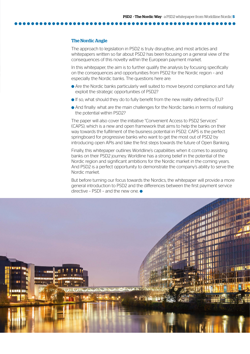#### The Nordic Angle

The approach to legislation in PSD2 is truly disruptive, and most articles and whitepapers written so far about PSD2 has been focusing on a general view of the consequences of this novelty within the European payment market.

In this whitepaper, the aim is to further qualify the analysis by focusing specifically on the consequences and opportunities from PSD2 for the Nordic region – and especially the Nordic banks. The questions here are:

- Are the Nordic banks particularly well suited to move beyond compliance and fully exploit the strategic opportunities of PSD2?
- If so, what should they do to fully benefit from the new reality defined by EU?
- And finally: what are the main challenges for the Nordic banks in terms of realising the potential within PSD2?

The paper will also cover the initiative "Convenient Access to PSD2 Services" (CAPS), which is a new and open framework that aims to help the banks on their way towards the fulfilment of the business potential in PSD2. CAPS is the perfect springboard for progressive banks who want to get the most out of PSD2 by introducing open APIs and take the first steps towards the future of Open Banking.

Finally, this whitepaper outlines Worldline's capabilities when it comes to assisting banks on their PSD2 journey. Worldline has a strong belief in the potential of the Nordic region and significant ambitions for the Nordic market in the coming years. And PSD2 is a perfect opportunity to demonstrate the company's ability to serve the Nordic market.

But before turning our focus towards the Nordics, the whitepaper will provide a more general introduction to PSD2 and the differences between the first payment service directive – PSD1 – and the new one.  $\bullet$ 

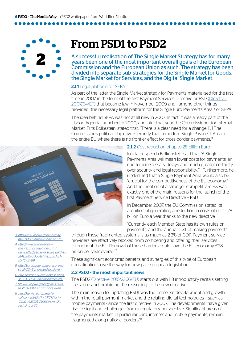

### From PSD1 to PSD2

A successful realisation of The Single Market Strategy has for many years been one of the most important overall goals of the European Commission and the European Union as such. The strategy has been divided into separate sub-strategies for the Single Market for Goods, the Single Market for Services, and the Digital Single Market.

#### 2.1.1 Legal platform for SEPA

As part of the latter the Single Market strategy for Payments materialised for the first time in 2007 in the form of the first Payment Services Directive or PSD [\(Directive](http://eur-lex.europa.eu/LexUriServ/LexUriServ.do?uri=OJ:L:2007:319:0001:0036:en:PDF)  [2007/64/EF\)](http://eur-lex.europa.eu/LexUriServ/LexUriServ.do?uri=OJ:L:2007:319:0001:0036:en:PDF) that became law in November 2009 and - among other things provided "the necessary legal platform for the Single Euro Payments Area"<sup>3</sup> or SEPA.

The idea behind SEPA was not at all new in 2007. In fact, it was already part of the Lisbon Agenda launched in 2000, and later that year the Commissioner for Internal Market, Frits Bolkestein, stated that: "There is a clear need for a change. [...] The Commission's political objective is exactly that: a modern Single Payment Area for the entire EU where there is no frontier effect for cross-border payments.<sup>"4</sup>



#### 2.1.2 Cost reduction of up to 28 billion Euro

In a later speech Bolkenstein said that "A Single Payments Area will mean lower costs for payments, an end to unnecessary delays and much greater certainty over security and legal responsibility."<sup>5</sup> Furthermore, he underlined that a Single Payment Area would also be "crucial for the competitiveness of the EU economy."6 And the creation of a stronger competitiveness was exactly one of the main reasons for the launch of the first Payment Service Directive – PSD1.

In December 2007, the EU Commission stated its ambition of generating a reduction in costs of up to 28 billion Euro a year thanks to the new directive:

"Currently each Member State has its own rules on payments, and the annual cost of making payments

*3. [http://ec.europa.eu/finance/pay](http://ec.europa.eu/finance/payments/framework/index_en.htm 
)[ments/framework/index\\_en.htm](http://ec.europa.eu/finance/payments/framework/index_en.htm 
)* 

*4. [http://www.europeanpay](http://www.europeanpaymentscouncil.eu/index.cfm/newsletter/article/?articles_uuid=D21AD945-5056-B741-DB50AEA554CA2789 )[mentscouncil.eu/index.cfm/](http://www.europeanpaymentscouncil.eu/index.cfm/newsletter/article/?articles_uuid=D21AD945-5056-B741-DB50AEA554CA2789 ) [newsletter/article/?articles\\_uuid=D-](http://www.europeanpaymentscouncil.eu/index.cfm/newsletter/article/?articles_uuid=D21AD945-5056-B741-DB50AEA554CA2789 )[21AD945-5056-B741-DB50AEA-](http://www.europeanpaymentscouncil.eu/index.cfm/newsletter/article/?articles_uuid=D21AD945-5056-B741-DB50AEA554CA2789 )[554CA2789](http://www.europeanpaymentscouncil.eu/index.cfm/newsletter/article/?articles_uuid=D21AD945-5056-B741-DB50AEA554CA2789 )* 

*5. http://europa.eu/rapid/press-release\_IP-03-1641\_en.htm?locale=en* 

*6. http://europa.eu/rapid/press-release\_IP-03-1641\_en.htm?locale=en* 

*7. http://europa.eu/rapid/press-release\_IP-07-1914\_en.htm?locale=en* 

*8. http://eur-lex.europa.eu/le-*

*gal-content/EN/TXT/PDF/?uri=- CELEX:32015L2366&from=DA, recital 4, p. 36*

through these fragmented systems is as much as 2-3% of GDP. Payment service providers are effectively blocked from competing and offering their services throughout the EU. Removal of these barriers could save the EU economy €28 billion per year overall."7

These significant economic benefits and synergies of this type of European consolidation pave the way for new pan-European legislation.

#### 2.2 PSD2 - the most important news

The PSD2 [\(Directive 2015/2366/EU\)](http://eur-lex.europa.eu/legal-content/EN/TXT/PDF/?uri=CELEX:32015L2366&from=DA) starts out with 113 introductory recitals setting the scene and explaining the reasoning to the new directive.

The main reason for updating PSD1 was the immense development and growth within the retail payment market and the relating digital technologies – such as mobile payments - since the first directive in 2007. The developments "have given rise to significant challenges from a regulatory perspective. Significant areas of the payments market, in particular card, internet and mobile payments, remain fragmented along national borders."<sup>8</sup>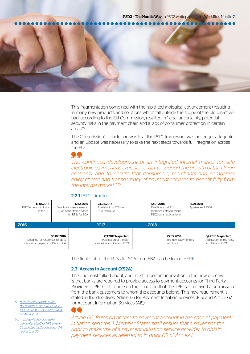

This fragmentation combined with the rapid technological advancement (resulting in many new products and solutions which fall outside the scope of the old directive) had, according to the EU Commission, resulted in "legal uncertainty, potential security risks in the payment chain and a lack of consumer protection in certain areas."9

The Commission's conclusion was that the PSD1 framework was no longer adequate and an update was necessary to take the next steps towards full integration across the EU:

### $\bullet\bullet$

*The continued development of an integrated internal market for safe electronic payments is crucial in order to support the growth of the Union economy and to ensure that consumers, merchants and companies enjoy choice and transparency of payment services to benefit fully from the internal market." 10*

#### 2.2.1 PSD2 Timeline



The final draft of the RTSs for SCA from EBA can be found [HERE](https://www.eba.europa.eu/documents/10180/1761863/Final+draft+RTS+on+SCA+and+CSC+under+PSD2+%28EBA-RTS-2017-02%29.pdf )

#### 2.3 Access to Account (XS2A)

The one most talked about, and most important innovation in the new directive is that banks are required to provide access to payment accounts for Third Party Providers (TPPs) – of course on the condition that the TPP has received a permission from the bank customers to whom the accounts belong. This new requirement is stated in the directives' Article 66 for Payment Initiation Services (PIS) and Article 67 for Account Information Services (AIS):

*Article 66. Rules on access to payment account in the case of payment initiation services. 1. Member States shall ensure that a payer has the right to make use of a payment initiation service provider to obtain payment services as referred to in point (7) of Annex I."*

*9. [http://eur-lex.europa.eu/le](http://eur-lex.europa.eu/legal-content/EN/TXT/PDF/?uri=CELEX:32015L2366&from=DA)[gal-content/EN/TXT/PDF/?uri=-](http://eur-lex.europa.eu/legal-content/EN/TXT/PDF/?uri=CELEX:32015L2366&from=DA) [CELEX:32015L2366&from=DA,](http://eur-lex.europa.eu/legal-content/EN/TXT/PDF/?uri=CELEX:32015L2366&from=DA) recital 4, p. 36*

*10. [http://eur-lex.europa.eu/le](http://eur-lex.europa.eu/legal-content/EN/TXT/PDF/?uri=CELEX:32015L2366&from=DA)[gal-content/EN/TXT/PDF/?uri=-](http://eur-lex.europa.eu/legal-content/EN/TXT/PDF/?uri=CELEX:32015L2366&from=DA) [CELEX:32015L2366&from=DA,](http://eur-lex.europa.eu/legal-content/EN/TXT/PDF/?uri=CELEX:32015L2366&from=DA) recital 5, p. 36*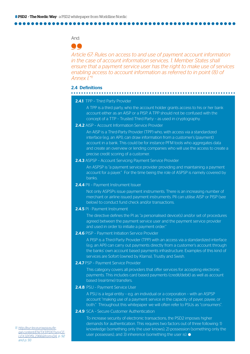#### And:

### 66

*Article 67: Rules on access to and use of payment account information in the case of account information services. 1. Member States shall ensure that a payment service user has the right to make use of services enabling access to account information as referred to in point (8) of Annex I."11*

#### 2.4 Definitions

#### 

#### 2.4.1 TPP - Third Party Provider

 A TPP is a third party, who the account holder grants access to his or her bank account either as an AISP or a PISP. A TPP should not be confused with the concept of a TTP – Trusted Third Party – as used in cryptography.

2.4.2 AISP – Account Information Service Provider

 An AISP is a Third-Party Provider (TPP) who, with access via a standardized interface (e.g. an API), can draw information from a customer's (payment) account in a bank. This could be for instance PFM tools who aggregates data and create an overview or lending companies who will use the access to create a precise credit scoring of a customer.

#### 2.4.3 ASPSP – Account Servicing Payment Service Provider

 An ASPSP is "a payment service provider providing and maintaining a payment account for a payer." For the time being the role of ASPSP is namely covered by banks.

2.4.4 PII - Payment Instrument Issuer

 Not only ASPSPs issue payment instruments. There is an increasing number of merchant or airline issued payment instruments. PII can utilise AISP or PISP (see below) to conduct fund check and/or transactions.

#### 2.4.5 PI - Payment Instrument

 The directive defines the PI as "a personalised device(s) and/or set of procedures agreed between the payment service user and the payment service provider and used in order to initiate a payment order."

#### 2.4.6 PISP – Payment Initiation Service Provider

 A PISP is a Third-Party Provider (TPP) with an access via a standardized interface (e.g. an API) can carry out payments directly from a customer's account through the banks' own account based payments infrastructure. Examples of this kind of services are Sofort (owned by Klarna), Trustly and Swish.

#### 2.4.7 PSP - Payment Service Provider

 This category covers all providers that offer services for accepting electronic payments. This includes card based payments (credit/debit) as well as account based (real-time) transfers.

#### 2.4.8 PSU - Payment Service User

 A PSU is a legal entity – e.g. an individual or a corporation – with an ASPSP account "making use of a payment service in the capacity of payer, payee, or both." Throughout this whitepaper we will often refer to PSUs as "consumers".

#### 2.4.9 SCA - Secure Customer Authentication

 To increase security of electronic transactions, the PSD2 imposes higher demands for authentication. This requires two factors out of three following: 1) knowledge (something only the user knows), 2) possession (something only the user possesses), and 3) inherence (something the user is).  $\bullet$ 

*11. [http://eur-lex.eurowpa.eu/le](http://eur-lex.europa.eu/legal-content/EN/TXT/PDF/?uri=CELEX:32015L2366&from=DA)[gal-content/EN/TXT/PDF/?uri=CE-](http://eur-lex.europa.eu/legal-content/EN/TXT/PDF/?uri=CELEX:32015L2366&from=DA)[LEX:32015L2366&from=DA,](http://eur-lex.europa.eu/legal-content/EN/TXT/PDF/?uri=CELEX:32015L2366&from=DA) p. 92 and p. 93*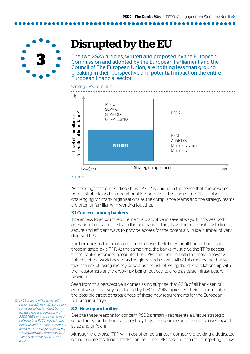

## Disrupted by the EU

The two XS2A articles, written and proposed by the European Commission and adopted by the European Parliament and the Council of The European Union, are nothing less than ground breaking in their perspective and potential impact on the entire European financial sector.



As this diagram from Norfico shows PSD2 is unique in the sense that it represents both a strategic and an operational importance at the same time. This is also challenging for many organisations as the compliance teams and the strategy teams are often unfamiliar with working together.

#### 3.1 Concern among bankers

The access to account requirement is disruptive in several ways. It imposes both operational risks and costs on the banks since they have the responsibility to find secure and efficient ways to provide access for the potentially huge number of very diverse TPPs.

Furthermore, as the banks continue to have the liability for all transactions – also those initiated by a TPP. At the same time, the banks must give the TPPs access to the bank customers' accounts. The TPPs can include both the most innovative fintechs of the world as well as the global tech giants. All of this means that banks face the risk of losing money as well as the risk of losing the direct relationship with their customers and thereby risk being reduced to a role as basic infrastructure provider.

Seen from this perspective it comes as no surprise that 88 % of all bank senior executives in a survey conducted by PwC in 2016 expressed their concerns about the possible direct consequences of these new requirements for the European banking industry.<sup>12</sup>

#### 3.2 New opportunities

Despite these reasons for concern PSD2 primarily represents a unique strategic opportunity for the banks, if only they have the courage and the innovative power to seize and unfold it.

Although the typical TPP will most often be a fintech company providing a dedicated online payment solution, banks can become TPPs too and tap into competing banks'

*12. In Q1 of 2016 PWC surveyed senior executives in 30 European banks revealing "a mixed, but mostly negative, perception of PSD2." 88% of those interviewed believed that PSD2 would impact their business, but only a minority had a PSD2 strategy. [https://www.](https://www.strategyand.pwc.com/media/file/Catalyst-or-threat.pdf, ) [strategyand.pwc.com/media/file/](https://www.strategyand.pwc.com/media/file/Catalyst-or-threat.pdf, ) [Catalyst-or-threat.pdf, p](https://www.strategyand.pwc.com/media/file/Catalyst-or-threat.pdf, ). 12 and p. 22.*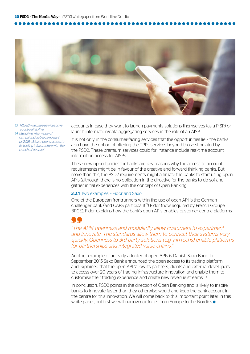

*13. [https://www.caps-services.com/](https://www.caps-services.com/about-us#tab-five) [about-us#tab-five](https://www.caps-services.com/about-us#tab-five) 14. [https://www.home.saxo/](https://www.home.saxo/campaigns/global-campaign/pr/2015-q3/saxo-opens-access-to-its-trading-infrastructure-with-the-launch-of-openapi) [campaigns/global-campaign/](https://www.home.saxo/campaigns/global-campaign/pr/2015-q3/saxo-opens-access-to-its-trading-infrastructure-with-the-launch-of-openapi)*

*[pr/2015-q3/saxo-opens-access-to](https://www.home.saxo/campaigns/global-campaign/pr/2015-q3/saxo-opens-access-to-its-trading-infrastructure-with-the-launch-of-openapi)[its-trading-infrastructure-with-the](https://www.home.saxo/campaigns/global-campaign/pr/2015-q3/saxo-opens-access-to-its-trading-infrastructure-with-the-launch-of-openapi)[launch-of-openapi](https://www.home.saxo/campaigns/global-campaign/pr/2015-q3/saxo-opens-access-to-its-trading-infrastructure-with-the-launch-of-openapi)*

accounts in case they want to launch payments solutions themselves (as a PISP) or launch information/data aggregating services in the role of an AISP.

It is not only in the consumer-facing services that the opportunities lie – the banks also have the option of offering the TPPs services beyond those stipulated by the PSD2. These premium services could for instance include real-time account information access for AISPs.

These new opportunities for banks are key reasons why the access to account requirements might be in favour of the creative and forward thinking banks. But more than this, the PSD2 requirements might animate the banks to start using open APIs (although there is no obligation in the directive for the banks to do so) and gather initial experiences with the concept of Open Banking.

#### **3.2.1** Two examples - Fidor and Saxo

One of the European frontrunners within the use of open API is the German challenger bank (and CAPS participant<sup>13</sup>) Fidor (now acquired by French Groupe BPCE). Fidor explains how the bank's open APIs enables customer centric platforms:



*"The APIs' openness and modularity allow customers to experiment and innovate. The standards allow them to connect their systems very quickly. Openness to 3rd party solutions (e.g. FinTechs) enable platforms for partnerships and integrated value chains."*

Another example of an early adopter of open APIs is Danish Saxo Bank. In September 2015 Saxo Bank announced the open access to its trading platform and explained that the open API "allow its partners, clients and external developers to access over 20 years of trading infrastructure innovation and enable them to customise their trading experience and create new revenue streams."14

In conclusion, PSD2 points in the direction of Open Banking and is likely to inspire banks to innovate faster than they otherwise would and keep the bank account in the centre for this innovation. We will come back to this important point later in this white paper, but first we will narrow our focus from Europe to the Nordics.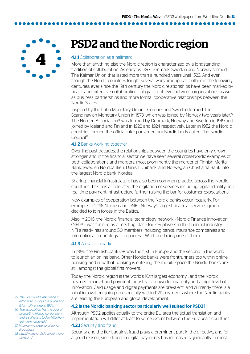**4**

## PSD2 and the Nordic region

#### **4.1.1** Collaboration as a hallmark

More than anything else the Nordic region is characterized by a longstanding tradition of collaboration. As early as 1397 Denmark, Sweden and Norway formed The Kalmar Union that lasted more than a hundred years until 1523. And even though the Nordic countries fought several wars among each other in the following centuries, ever since the 19th century the Nordic relationships have been marked by peace and extensive collaboration - at grassroot level between organizations as well as business partnerships and more formal cooperative relationships between the Nordic States.

Inspired by the Latin Monetary Union Denmark and Sweden formed The Scandinavian Monetary Union in 1873, which was joined by Norway two years later.<sup>15</sup> The Norden Association<sup>16</sup> was formed by Denmark, Norway and Sweden in 1919 and joined by Iceland and Finland in 1922 and 1924 respectively. Later, in 1952 the Nordic countries formed the official inter-parliamentary Nordic body called The Nordic Council<sup>17</sup>

#### **4.1.2 Banks working together**

Over the past decades, the relationships between the countries have only grown stronger, and in the financial sector we have seen several cross-Nordic examples of both collaborations and mergers, most prominently the merger of Finnish Merita Bank, Swedish Nordbanken, Danish Unibank, and Norwegian Christiania Bank into the largest Nordic bank, Nordea.

Sharing financial infrastructure has also been common practice across the Nordic countries. This has accelerated the digitation of services including digital identity and real-time payment infrastructure further raising the bar for costumer expectations.

New examples of cooperation between the Nordic banks occur regularly. For example, in 2016 Nordea and DNB - Norway's largest financial services group – decided to join forces in the Baltics.

Also in 2016, the Nordic financial technology network - Nordic Finance Innovation  $(NF)$ <sup>18</sup> – was formed as a meeting place for key players in the financial industry. NFI already has around 50 members including banks, insurance companies and international technology companies – Worldline being one of them.

#### 4.1.3 A mature market

In 1996 the Finnish bank OP was the first in Europe and the second in the world to launch an online bank. Other Nordic banks were frontrunners too within online banking, and now that banking is entering the mobile space the Nordic banks are still amongst the global first movers.

Today the Nordic region is the world's 10th largest economy , and the Nordic payment market and payment industry is known for maturity and a high level of innovation. Card usage and digital payments are prevalent, and currently there is a lot of innovation going on especially within P2P payments where the Nordic banks are leading the European and global development.

#### 4.2 Is the Nordic banking sector particularly well suited for PSD2?

Although PSD2 applies equally to the entire EU area the actual translation and implementation will differ at least to some extent between the European countries.

#### 4.2.1 Security and fraud

Security and the fight against fraud plays a prominent part in the directive, and for a good reason, since fraud in digital payments has increased significantly in most

- *15. The First World War made it difficult to uphold the union and it formally ended in 1924.*
- *16. The association has the goal of promoting Nordic corporation and it still exists today: http://foreningen-norden.dk/*
- *17. [http://www.norden.org/en/nor](http://www.norden.org/en/nordic-council )[dic-council](http://www.norden.org/en/nordic-council )*
- *18. [http://www.nordicfinanceinnova]( http://www.nordicfinanceinnovation.com/)[tion.com/]( http://www.nordicfinanceinnovation.com/)*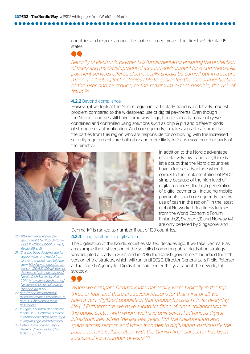countries and regions around the globe in recent years. The directive's Recital 95 states:

68

*Security of electronic payments is fundamental for ensuring the protection of users and the development of a sound environment for e-commerce. All payment services offered electronically should be carried out in a secure manner, adopting technologies able to guarantee the safe authentication of the user and to reduce, to the maximum extent possible, the risk of fraud."20*

#### 4.2.2 Beyond compliance

However, if we look at the Nordic region in particularly, fraud is a relatively modest problem compared to the widespread use of digital payments. Even though the Nordic countries still have some way to go, fraud is already reasonably well contained and controlled using solutions such as chip & pin and different kinds of strong user authentication. And consequently, it makes sense to assume that the parties from this region who are responsible for complying with the increased security requirements are both able and more likely to focus more on other parts of the directive.



In addition to the Nordic advantage of a relatively low fraud rate, there is little doubt that the Nordic countries have a further advantage when it comes to the implementation of PSD2 simply because of the high level of digital readiness, the high penetration of digital payments – including mobile payments – and consequently the low use of cash in the region.<sup>21</sup> In the latest global Networked Readiness Index<sup>22</sup> from the World Economic Forum Finland (2), Sweden (3) and Norway (4) are only bettered by Singapore, and

*20. [http://eur-lex.europa.eu/le](http://eur-lex.europa.eu/legal-content/EN/TXT/PDF/?uri=CELEX:32015L2366&from=DA)[gal-content/EN/TXT/PDF/?uri=-](http://eur-lex.europa.eu/legal-content/EN/TXT/PDF/?uri=CELEX:32015L2366&from=DA) [CELEX:32015L2366&from=DA](http://eur-lex.europa.eu/legal-content/EN/TXT/PDF/?uri=CELEX:32015L2366&from=DA), Recital 95, p. 51*

- *21. This has been documented for several years, and media from all over the world have told the story: [http://www.nordicstartup](http://www.nordicstartupbits.com/2016/01/29/will-the-nordics-be-the-first-to-go-cashless/.)[bits.com/2016/01/29/will-the-nor](http://www.nordicstartupbits.com/2016/01/29/will-the-nordics-be-the-first-to-go-cashless/.)[dics-be-the-first-to-go-cashless/.](http://www.nordicstartupbits.com/2016/01/29/will-the-nordics-be-the-first-to-go-cashless/.) Nordic Cash Survey by Nets 2014: [http://www.slideshare.net/](http://www.slideshare.net/Netsgroup/nets-digitalvaluesissueone2014) [Netsgroup/nets-digitalvaluesis](http://www.slideshare.net/Netsgroup/nets-digitalvaluesissueone2014)[sueone2014](http://www.slideshare.net/Netsgroup/nets-digitalvaluesissueone2014), p. 56*
- *22. [http://reports.weforum.org/](http://reports.weforum.org/global-information-technology-report-2016/networked-readiness-index/  ) [global-information-technology-re](http://reports.weforum.org/global-information-technology-report-2016/networked-readiness-index/  )[port-2016/networked-readi](http://reports.weforum.org/global-information-technology-report-2016/networked-readiness-index/  )[ness-index/](http://reports.weforum.org/global-information-technology-report-2016/networked-readiness-index/  )*
- *23. In Digital Economy and Society Index (DESI) Denmark is ranked at number one: [https://ec.europa.](https://issuu.com/tverskov/docs/fintech_cph) [eu/digital-single-market/en/desi](https://issuu.com/tverskov/docs/fintech_cph)*
- *[24. Fintech Copenhagen, https://](https://issuu.com/tverskov/docs/fintech_cph) [issuu.com/tverskov/docs/fin](https://issuu.com/tverskov/docs/fintech_cph)[tech\\_cph, p. 40](https://issuu.com/tverskov/docs/fintech_cph)*

Denmark23 is ranked as number 11 out of 139 countries. **4.2.3** Long tradition for digitisation

The digitisation of the Nordic societies started decades ago. If we take Denmark as an example the first version of the so-called common public digitisation strategy was adopted already in 2001, and in 2016 the Danish government launched the fifth version of the strategy, which will run until 2020. Director-General Lars Frelle-Petersen at the Danish Agency for Digitisation said earlier this year about the new digital strategy:



*When we compare Denmark internationally, we're typically in the top three or four, and there are several reasons for that: First of all, we have a very digitised population that frequently uses IT in its everyday*  life [...] Furthermore, we have a long tradition of close collaboration in *the public sector, with whom we have built several advanced digital infrastructures within the last few years. But the collaboration also spans across sectors, and when it comes to digitisation, particularly the public sector's collaboration with the Danish financial sector has been successful for a number of years."24*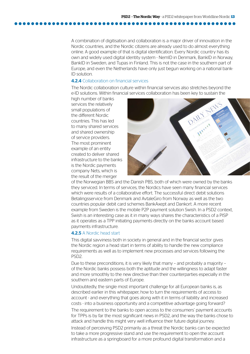A combination of digitisation and collaboration is a major driver of innovation in the Nordic countries, and the Nordic citizens are already used to do almost everything online. A good example of that is digital identification. Every Nordic country has its own and widely used digital identity system - NemID in Denmark, BankID in Norway, BankID in Sweden, and Tupas in Finland. This is not the case in the southern part of Europe, and even the Netherlands have only just begun working on a national bank-ID solution.

#### **4.2.4** Collaboration on financial services

The Nordic collaboration culture within financial services also stretches beyond the e-ID solutions. Within financial services collaboration has been key to sustain the

high number of banks services the relatively small populations of the different Nordic countries. This has led to many shared services and shared ownership of service providers. The most prominent example of an entity created to deliver shared infrastructure to the banks is the Nordic payments company Nets, which is the result of the merger



of the Norwegian BBS and the Danish PBS, both of which were owned by the banks they serviced. In terms of services, the Nordics have seen many financial services which were results of a collaborative effort. The successful direct debit solutions Betalingsservice from Denmark and AvtaleGiro from Norway as well as the two countries popular debit card schemes BankAxept and Dankort. A more recent example from Sweden is the mobile P2P payment solution Swish. In a PSD2 context, Swish is an interesting case as it in many ways shares the characteristics of a PISP as it operates as a TPP initiating payments directly on the banks account based payments infrastructure.

#### 4.2.5 A Nordic head start

This digital savviness both in society in general and in the financial sector gives the Nordic region a head start in terms of ability to handle the new compliance requirements as well as to implement new processes and services following the PSD2.

Due to these preconditions, it is very likely that many – and probably a majority – of the Nordic banks possess both the aptitude and the willingness to adapt faster and more smoothly to the new directive than their counterparties especially in the southern and eastern parts of Europe.

Undoubtedly, the single most important challenge for all European banks is, as described earlier in this whitepaper, how to turn the requirements of access to account - and everything that goes along with it in terms of liability and increased costs - into a business opportunity and a competitive advantage going forward?

The requirement to the banks to open access to the consumers' payment accounts for TPPs is by far the most significant news in PSD2, and the way the banks chose to attack and handle this might very well influence their future digital journey.

Instead of perceiving PSD2 primarily as a threat the Nordic banks can be expected to take a more progressive stand and use the requirement to open the account infrastructure as a springboard for a more profound digital transformation and a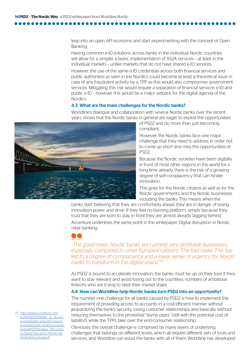leap into an open API economy and start experimenting with the concept of Open Banking.

Having common e-ID solutions across banks in the individual Nordic countries will allow for a simpler a faster implementation of XS2A services – at least in the individual markets – unlike markets that do not have shared e-ID services.

However, the use of the same e-ID credentials across both financial services and public authorities as seen in the Nordics could become at least a theoretical issue in case of any fraudulent activity by a TPP as this would also compromise government services. Mitigating this risk would require a separation of financial services e-ID and public e-ID – however this would be a major setback for the digital agenda of the Nordics.

#### 4.3 What are the main challenges for the Nordic banks?

Worldline's dialogue and collaboration with several Nordic banks over the recent years shows that the Nordic banks in general are eager to exploit the opportunities



of PSD2 and do more than just becoming compliant.

However, the Nordic banks face one major challenge that they need to address in order not to come up short and miss the opportunities of PSD2.

Because the Nordic societies have been digitally in front of most other regions in the world for a long time already, there is the risk of a growing degree of self-complacency that can hinder innovation.

This goes for the Nordic citizens as well as for the Nordic governments, and the Nordic businesses including the banks. This means when the

banks start believing that they are comfortably ahead, they are in danger of losing innovation power and drive. If they feel no burning platform, simply because they trust that they are born to stay in front they are almost already lagging behind.

Accenture underlines the same point in the whitepaper Digital disruption in Nordic retail banking:

*"The good news: Nordic banks are running very profitable businesses, especially compared to other European players. The bad news: This has*  led to a degree of complacency and a lower sense of urgency for Nordic *banks to transform in the digital space."25*

As PSD2 is bound to accelerate innovation, the banks must be up on their toes if they want to stay relevant and avoid losing out to the countless numbers of ambitious fintechs who are trying to steal their market share.

#### 4.4 How can Worldline help Nordic banks turn PSD2 into an opportunity?

The number one challenge for all banks caused by PSD2 is how to implement the requirement of providing access to accounts in a cost-efficient manner without jeopardizing the bank's security, losing customer relationships and basically without reducing themselves to the proverbial "dump pipes" (still with the potential cost of liability!), while the TPPs take over the end-consumer relationship.

Obviously, this overall challenge is comprised by many layers of underlying challenges that belongs on different levels, which all require different sets of tools and services, and Worldline can assist the banks with all of them. Worldline has developed

*25. [https://www.accenture.com/](https://www.accenture.com/t20150924T055551__w__/se-en/_acnmedia/Accenture/Conversion-Assets/DotCom/D) [t20150924T055551\\_\\_w\\_\\_/se-en/\\_](https://www.accenture.com/t20150924T055551__w__/se-en/_acnmedia/Accenture/Conversion-Assets/DotCom/D) [acnmedia/Accenture/Conversi](https://www.accenture.com/t20150924T055551__w__/se-en/_acnmedia/Accenture/Conversion-Assets/DotCom/D)[on-Assets/DotCom/Documents/](https://www.accenture.com/t20150924T055551__w__/se-en/_acnmedia/Accenture/Conversion-Assets/DotCom/D) [Global/PDF/Strategy\\_7/Accentu](https://www.accenture.com/t20150924T055551__w__/se-en/_acnmedia/Accenture/Conversion-Assets/DotCom/D)[re-Digital-Disruption-Nordic-Re](https://www.accenture.com/t20150924T055551__w__/se-en/_acnmedia/Accenture/Conversion-Assets/DotCom/D)[tail-Banking-Study.pdf](https://www.accenture.com/t20150924T055551__w__/se-en/_acnmedia/Accenture/Conversion-Assets/DotCom/D)*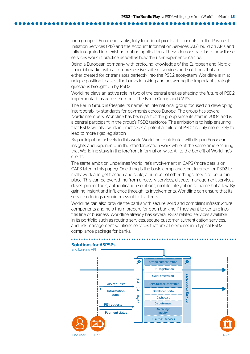for a group of European banks, fully functional proofs of concepts for the Payment Initiation Services (PIS) and the Account Information Services (AIS), build on APIs and fully integrated into existing routing applications. These demonstrate both how these services work in practice as well as how the user experience can be.

Being a European company with profound knowledge of the European and Nordic financial market with a comprehensive suite of services and solutions that are either created for or translates perfectly into the PSD2 ecosystem, Worldline is in at unique position to assist the banks in asking and answering the important strategic questions brought on by PSD2.

Worldline plays an active role in two of the central entities shaping the future of PSD2 implementations across Europe – The Berlin Group and CAPS.

The Berlin Group is (despite its name) an international group focused on developing interoperability standards for payments across Europe. The group has several Nordic members. Worldline has been part of the group since its start in 2004 and is a central participant in the group's PSD2 taskforce. The ambition is to help ensuring that PSD2 will also work in practise as a potential failure of PSD2 is only more likely to lead to more rigid legislation.

By participating actively in this work, Worldline contributes with its pan-European insights and experience in the standardisation work while at the same time ensuring that Worldline stays in the forefront information-wise. All to the benefit of Worldline's clients.

The same ambition underlines Worldline's involvement in CAPS (more details on CAPS later in this paper). One thing is the basic compliance, but in order for PSD2 to really work and get traction and scale, a number of other things needs to be put in place. This can be everything from directory services, dispute management services, development tools, authentication solutions, mobile integration to name but a few. By gaining insight and influence through its involvements, Worldline can ensure that its service offerings remain relevant to its clients.

Worldline can also provide the banks with secure, solid and compliant infrastructure components and help them prepare for open banking if they want to venture into this line of business. Worldline already has several PSD2 related services available in its portfolio such as routing services, secure customer authentication services, and risk management solutions services that are all elements in a typical PSD2 compliance package for banks.

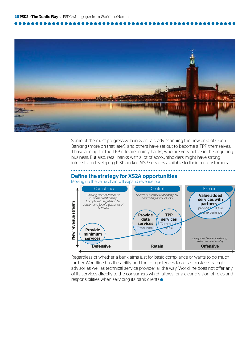

Some of the most progressive banks are already scanning the new area of Open Banking (more on that later), and others have set out to become a TPP themselves. Those aiming for the TPP role are mainly banks, who are very active in the acquiring business. But also, retail banks with a lot of accountholders might have strong interests in developing PISP and/or AISP services available to their end customers.

### Define the strategy for XS2A opportunities

#### Moving up the value chain will expand revenue pool



Regardless of whether a bank aims just for basic compliance or wants to go much further Worldline has the ability and the competences to act as trusted strategic advisor as well as technical service provider all the way. Worldline does not offer any of its services directly to the consumers which allows for a clear division of roles and responsibilities when servicing its bank clients.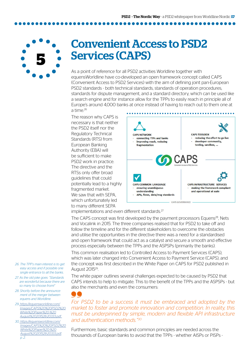**5**

### Convenient Access to PSD2 Services (CAPS)

As a point of reference for all PSD2 activities Worldline together with equensWorldline have co-developed an open framework concept called CAPS (Convenient Access to PSD2 Services) with the aim of defining joint pan-European PSD2 standards - both technical standards, standards of operation procedures, standards for dispute management, and a standard directory, which can be used like a search engine and for instance allow for the TPPs to easily reach in principle all of Europe's around 4,000 banks at once instead of having to reach out to them one at a time.26

The reason why CAPS is necessary is that neither the PSD2 itself nor the Regulatory Technical Standards (RTS) from European Banking Authority (EBA) will be sufficient to make PSD2 work in practice. The directive and the RTSs only offer broad guidelines that could potentially lead to a highly fragmented market. We saw that with SEPA, which unfortunately led to many different SEPA



implementations and even different standards.<sup>27</sup>

The CAPS concept was first developed by the payment processors Equens<sup>28</sup>, Nets and Vocalink in 2015. The three companies realised that for PSD2 to take off and follow the timeline and for the different stakeholders to overcome the obstacles and utilise the opportunities in the directive there was a need for a standardised and open framework that could act as a catalyst and secure a smooth and effective process especially between the TPPs and the ASPSPs (primarily the banks).

This common realisation led to Controlled Access to Payment Services (CAPS), which was later changed into Convenient Access to Payment Service (CAPS), and the concept was first described in the White Paper on CAPS for PSD2 published in August 201529.

The white paper outlines several challenges expected to be caused by PSD2 that CAPS intends to help to mitigate. This to the benefit of the TPPs and the ASPSPs - but also the merchants and even the consumers:

*28. Shortly before the announcement of the merger between equens and Worldline.*

*26. The TPP's main interest is to get easy access and if possible one single entrance to all the banks. 27. As the old joke goes: "Standards are wonderful because there are so many to choose from!"*

*29. [https://equensworldline.com/](  https://equensworldline.com/Images/CAPS%20%20PSD2%20White%20Paper%20-%20August%20201528-20333.pdf ) [Images/CAPS%20%20PSD2%20](  https://equensworldline.com/Images/CAPS%20%20PSD2%20White%20Paper%20-%20August%20201528-20333.pdf ) [White%20Paper%20-%20](  https://equensworldline.com/Images/CAPS%20%20PSD2%20White%20Paper%20-%20August%20201528-20333.pdf ) [August%20201528-20333.pdf](  https://equensworldline.com/Images/CAPS%20%20PSD2%20White%20Paper%20-%20August%20201528-20333.pdf )* 

*30. [https://equensworldline.com/](  https://equensworldline.com/Images/CAPS%20%20PSD2%20White%20Paper%20-%20August%20201528-20333.pdf) [Images/CAPS%20%20PSD2%20](  https://equensworldline.com/Images/CAPS%20%20PSD2%20White%20Paper%20-%20August%20201528-20333.pdf) [White%20Paper%20-%20](  https://equensworldline.com/Images/CAPS%20%20PSD2%20White%20Paper%20-%20August%20201528-20333.pdf) [August%20201528-20333.pdf,](  https://equensworldline.com/Images/CAPS%20%20PSD2%20White%20Paper%20-%20August%20201528-20333.pdf) p. 2.*

*For PSD2 to be a success it must be embraced and adopted by the market to foster and promote innovation and competition. In reality, this must be underpinned by simple, modern and flexible API infrastructure and authentication methods."30*

Furthermore, basic standards and common principles are needed across the thousands of European banks to avoid that the TPPs - whether AISPs or PISPs -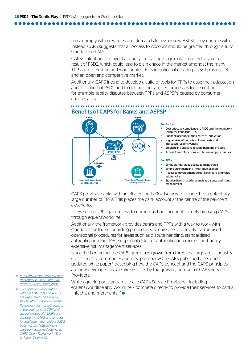must comply with new rules and demands for every new ASPSP they engage with. Instead, CAPS suggests that all Access to Account should be granted through a fully standardised API.

CAPS's intention is to avoid a rapidly increasing 'fragmentation effect' as a direct result of PSD2, which could lead to plain chaos in the market amongst the many TPPs across Europe and work against EU's intention of creating a level playing field and an open and competitive market.

Additionally, CAPS intend to develop a suite of tools for TPPs to ease their adaptation and utilization of PSD2 and to outline standardized processes for resolution of for example liability disputes between TPPs and ASPSPs caused by consumer chargebacks.

#### Payer **Payer** Payee **Imr** e de<br>Aa .<br>नि iPSP PISP/AISP Reach **Aggregate OOO** nnn Payee Bank/Acquirer ha PayerBank/Issuer bank Validation Service Routing Service

#### Benefitsof CAPS for Banks and ASPSP

#### For Banks

- Cost effective compliance to PSD2 and the regulatory technical standards (RTS)
- Put bank account at the centreof innovation
- Higher level of security at lower costs and increased responsiveness
- **Efficient and effective dispute handling process**
- Access to new functions and business opportunities

#### For TPPs

- Single standardized access to many banks
- Simple enrolment and integration process
- Access to development portal & standard and value adding APIs
- Standardised procedures such as dispute and fraud management

CAPS provides banks with an efficient and effective way to connect to a potentially large number of TPPs. This places the bank account at the centre of the payment experience.

Likewise, the TPPs gain access to numerous bank accounts simply by using CAPS through equensWorldline.

Additionally, the framework provides banks and TPPs with a way to work with standards for the on boarding procedures, secured service levels, harmonised operational procedures for areas such as dispute handling, standardised authentication for TPPs, support of different authentication models and, finally, extensive risk management services.

Since the beginning, the CAPS group has grown from three to a large cross-industry cross-country community and in September 2016 CAPS published a second, updated white paper31 describing how the CAPS concept and the CAPS principles are now developed as specific services by the growing number of CAPS Service **Providers** 

While agreeing on standards, these CAPS Service Providers – including equensWorldline and Worldline – compete directly to provide their services to banks, fintechs, and merchants  $32 \bullet$ 

*31. [https://www.caps-services.com/](https://www.caps-services.com/documents/CAPS_Open_Framework_White_Paper_2.pdf  ) [documents/CAPS\\_Open\\_Fra](https://www.caps-services.com/documents/CAPS_Open_Framework_White_Paper_2.pdf  )[mework\\_White\\_Paper\\_2.pdf](https://www.caps-services.com/documents/CAPS_Open_Framework_White_Paper_2.pdf  )* 

*32. " First pilot implementations with the first TPPs and AS-PSPs are expected to be available shortly after EBA publishes the Regulatory Technical Standards in the beginning of 2017 and several groups of ASPSPs are considering CAPS as their basis for implementation before PSD2 becomes law." [https://www.](https://www.caps-services.com/documents/CAPS_Open_Framework_White_Paper_2.pdf) [caps-services.com/documents/](https://www.caps-services.com/documents/CAPS_Open_Framework_White_Paper_2.pdf) [CAPS\\_Open\\_Framework\\_Whi](https://www.caps-services.com/documents/CAPS_Open_Framework_White_Paper_2.pdf)[te\\_Paper\\_2.pdf,](https://www.caps-services.com/documents/CAPS_Open_Framework_White_Paper_2.pdf) p. 10.*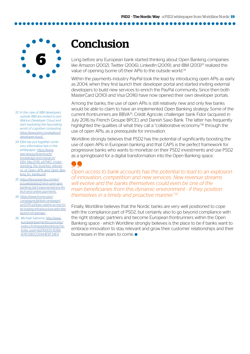**6**

*33. In the case of IBM developers outside IBM are invited to join Watson Developer Cloud and start exploiting the fascinating world of cognitive computing [https://www.ibm.com/watson/](https://www.ibm.com/watson/developercloud/   ) [developercloud/](https://www.ibm.com/watson/developercloud/   )* 

*34. EBA has put together some very informative lists in this whitepaper: [https://www.](https://www.abe-eba.eu/downloads/knowledge-and-research/EBA_May2016_eAPWG_Understanding_the_business) [abe-eba.eu/downloads/](https://www.abe-eba.eu/downloads/knowledge-and-research/EBA_May2016_eAPWG_Understanding_the_business) [knowledge-and-research/](https://www.abe-eba.eu/downloads/knowledge-and-research/EBA_May2016_eAPWG_Understanding_the_business) [EBA\\_May2016\\_eAPWG\\_Under](https://www.abe-eba.eu/downloads/knowledge-and-research/EBA_May2016_eAPWG_Understanding_the_business)[standing\\_the\\_business\\_relevan](https://www.abe-eba.eu/downloads/knowledge-and-research/EBA_May2016_eAPWG_Understanding_the_business)[ce\\_of\\_Open\\_APIs\\_and\\_Open\\_Ban](https://www.abe-eba.eu/downloads/knowledge-and-research/EBA_May2016_eAPWG_Understanding_the_business)[king\\_for\\_banks.pdf](https://www.abe-eba.eu/downloads/knowledge-and-research/EBA_May2016_eAPWG_Understanding_the_business)* 

*35. [https://bbvaopen4u.com/en/]( https://bbvaopen4u.com/en/actualidad/psd2-and-open-apis-banking-start-exponential-era-fintech-and-o) [actualidad/psd2-and-open-apis]( https://bbvaopen4u.com/en/actualidad/psd2-and-open-apis-banking-start-exponential-era-fintech-and-o)[banking-start-exponential-era-fin]( https://bbvaopen4u.com/en/actualidad/psd2-and-open-apis-banking-start-exponential-era-fintech-and-o)[tech-and-online-payments]( https://bbvaopen4u.com/en/actualidad/psd2-and-open-apis-banking-start-exponential-era-fintech-and-o)* 

*36. [https://www.home.saxo/]( https://www.home.saxo/campaigns/global-campaign/pr/2015-q3/saxo-opens-access-to-its-trading-infrast) [campaigns/global-campaign/]( https://www.home.saxo/campaigns/global-campaign/pr/2015-q3/saxo-opens-access-to-its-trading-infrast) [pr/2015-q3/saxo-opens-access-to]( https://www.home.saxo/campaigns/global-campaign/pr/2015-q3/saxo-opens-access-to-its-trading-infrast)[its-trading-infrastructure-with-the]( https://www.home.saxo/campaigns/global-campaign/pr/2015-q3/saxo-opens-access-to-its-trading-infrast)[launch-of-openapi]( https://www.home.saxo/campaigns/global-campaign/pr/2015-q3/saxo-opens-access-to-its-trading-infrast)* 

*36. Michael Salmony: [http://www.](http://www.europeanpaymentscouncil.eu/index.cfm/newsletter/article/?articles_uuid=42210000-5056-B741) [europeanpaymentscouncil.eu/](http://www.europeanpaymentscouncil.eu/index.cfm/newsletter/article/?articles_uuid=42210000-5056-B741) [index.cfm/newsletter/article/?ar](http://www.europeanpaymentscouncil.eu/index.cfm/newsletter/article/?articles_uuid=42210000-5056-B741)[ticles\\_uuid=42210000-5056-](http://www.europeanpaymentscouncil.eu/index.cfm/newsletter/article/?articles_uuid=42210000-5056-B741) [B741-DB0CD1AA4E9F34EA](http://www.europeanpaymentscouncil.eu/index.cfm/newsletter/article/?articles_uuid=42210000-5056-B741)*

## **Conclusion**

Long before any European bank started thinking about Open Banking companies like Amazon (2002), Twitter (2006), LinkedIn (2009), and IBM (2013)33 realized the value of opening (some of) their APIs to the outside world.<sup>34</sup>

Within the payments industry PayPal took the lead by introducing open APIs as early as 2004, when they first launch their developer portal and started inviting external developers to build new services to enrich the PayPal community. Since then both MasterCard (2010) and Visa (2016) have now opened their own developer portals.

Among the banks, the use of open APIs is still relatively new and only few banks would be able to claim to have an implemented Open Banking strategy. Some of the current frontrunners are BBVA35, Crédit Agricole, challenger bank Fidor (acquired in July 2016 by French Groupe BPCE), and Danish Saxo Bank. The latter has frequently highlighted the qualities of what they call a "collaborative economy"36 through the use of open APIs, as a prerequisite for innovation.

Worldline strongly believes that PSD2 has the potential of significantly boosting the use of open APIs in European banking and that CAPS is the perfect framework for progressive banks who wants to monetize on their PSD2 investments and use PSD2 as a springboard for a digital transformation into the Open Banking space.

60

*Open access to bank accounts has the potential to lead to an explosion of innovation, competition and new services. New revenue streams will evolve and the banks themselves could even be one of the main beneficiaries from this dynamic environment - if they position themselves in a timely and proactive manner."37*

Finally, Worldline believes that the Nordic banks are very well positioned to cope with the compliance part of PSD2, but certainly also to go beyond compliance with the right strategic partners and become European frontrunners within the Open Banking space - which Worldline strongly believes is the place to be if banks want to embrace innovation to stay relevant and grow their customer relationships and their businesses in the years to come.